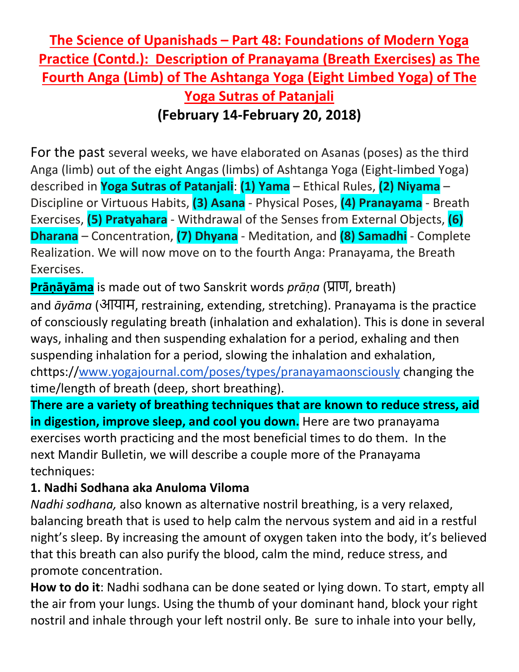## **The Science of Upanishads – Part 48: Foundations of Modern Yoga Practice (Contd.): Description of Pranayama (Breath Exercises) as The Fourth Anga (Limb) of The Ashtanga Yoga (Eight Limbed Yoga) of The Yoga Sutras of Patanjali (February 14-February 20, 2018)**

For the past several weeks, we have elaborated on Asanas (poses) as the third Anga (limb) out of the eight Angas (limbs) of Ashtanga Yoga (Eight-limbed Yoga) described in **Yoga Sutras of Patanjali**: **(1) Yama** – Ethical Rules, **(2) Niyama** – Discipline or Virtuous Habits, **(3) Asana** - Physical Poses, **(4) Pranayama** - Breath Exercises, **(5) Pratyahara** - Withdrawal of the Senses from External Objects, **(6) Dharana** – Concentration, **(7) Dhyana** - Meditation, and **(8) Samadhi** - Complete Realization. We will now move on to the fourth Anga: Pranayama, the Breath Exercises.

**Prāṇāyāma** is made out of two Sanskrit words *prāṇa* (प्राण, breath) and *āyāma* (आयाम, restraining, extending, stretching). Pranayama is the practice of consciously regulating breath (inhalation and exhalation). This is done in several ways, inhaling and then suspending exhalation for a period, exhaling and then suspending inhalation for a period, slowing the inhalation and exhalation, chttps:/[/www.yogajournal.com/poses/types/pranayamaonsciously](http://www.yogajournal.com/poses/types/pranayamaonsciously) changing the time/length of breath (deep, short breathing).

**There are a variety of breathing techniques that are known to reduce stress, aid in digestion, improve sleep, and cool you down.** Here are two pranayama exercises worth practicing and the most beneficial times to do them. In the next Mandir Bulletin, we will describe a couple more of the Pranayama techniques:

## **1. Nadhi Sodhana aka Anuloma Viloma**

*Nadhi sodhana,* also known as alternative nostril breathing, is a very relaxed, balancing breath that is used to help calm the nervous system and aid in a restful night's sleep. By increasing the amount of oxygen taken into the body, it's believed that this breath can also purify the blood, calm the mind, reduce stress, and promote concentration.

**How to do it**: Nadhi sodhana can be done seated or lying down. To start, empty all the air from your lungs. Using the thumb of your dominant hand, block your right nostril and inhale through your left nostril only. Be sure to inhale into your belly,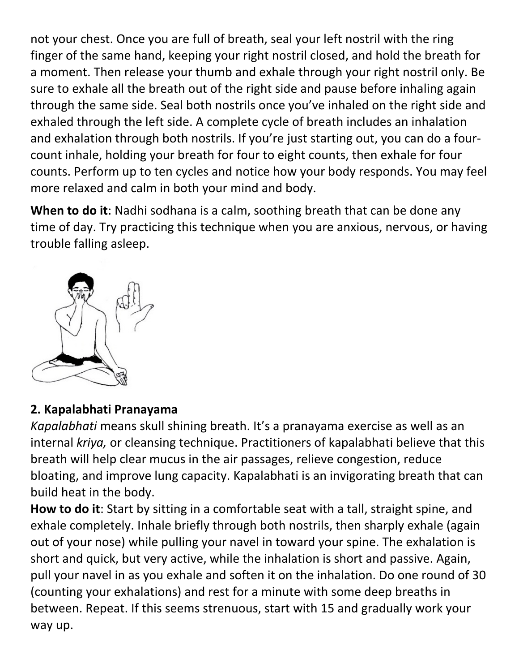not your chest. Once you are full of breath, seal your left nostril with the ring finger of the same hand, keeping your right nostril closed, and hold the breath for a moment. Then release your thumb and exhale through your right nostril only. Be sure to exhale all the breath out of the right side and pause before inhaling again through the same side. Seal both nostrils once you've inhaled on the right side and exhaled through the left side. A complete cycle of breath includes an inhalation and exhalation through both nostrils. If you're just starting out, you can do a fourcount inhale, holding your breath for four to eight counts, then exhale for four counts. Perform up to ten cycles and notice how your body responds. You may feel more relaxed and calm in both your mind and body.

**When to do it**: Nadhi sodhana is a calm, soothing breath that can be done any time of day. Try practicing this technique when you are anxious, nervous, or having trouble falling asleep.



## **2. Kapalabhati Pranayama**

*Kapalabhati* means skull shining breath. It's a pranayama exercise as well as an internal *kriya,* or cleansing technique. Practitioners of kapalabhati believe that this breath will help clear mucus in the air passages, relieve congestion, reduce bloating, and improve lung capacity. Kapalabhati is an invigorating breath that can build heat in the body.

**How to do it**: Start by sitting in a comfortable seat with a tall, straight spine, and exhale completely. Inhale briefly through both nostrils, then sharply exhale (again out of your nose) while pulling your navel in toward your spine. The exhalation is short and quick, but very active, while the inhalation is short and passive. Again, pull your navel in as you exhale and soften it on the inhalation. Do one round of 30 (counting your exhalations) and rest for a minute with some deep breaths in between. Repeat. If this seems strenuous, start with 15 and gradually work your way up.